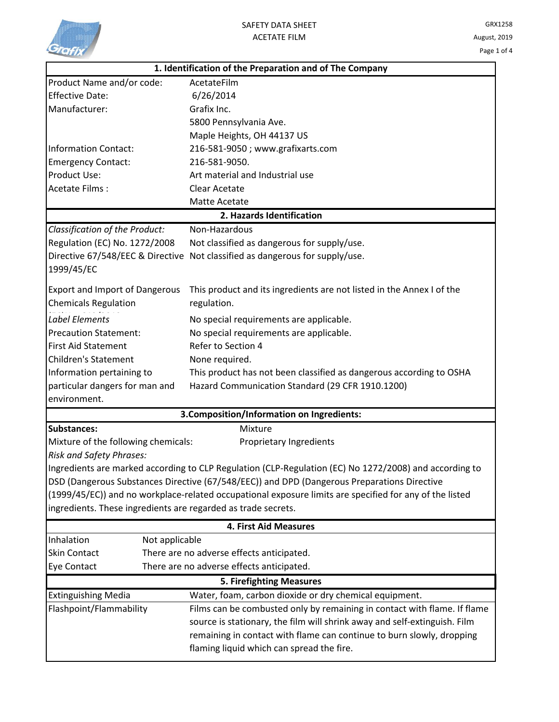

|                                                               | 1. Identification of the Preparation and of The Company                                                 |  |  |
|---------------------------------------------------------------|---------------------------------------------------------------------------------------------------------|--|--|
| Product Name and/or code:                                     | AcetateFilm                                                                                             |  |  |
| <b>Effective Date:</b>                                        | 6/26/2014                                                                                               |  |  |
| Manufacturer:                                                 | Grafix Inc.                                                                                             |  |  |
|                                                               | 5800 Pennsylvania Ave.                                                                                  |  |  |
|                                                               | Maple Heights, OH 44137 US                                                                              |  |  |
| Information Contact:                                          | 216-581-9050; www.grafixarts.com                                                                        |  |  |
| <b>Emergency Contact:</b>                                     | 216-581-9050.                                                                                           |  |  |
| Product Use:                                                  | Art material and Industrial use                                                                         |  |  |
| Acetate Films:                                                | <b>Clear Acetate</b>                                                                                    |  |  |
|                                                               | Matte Acetate                                                                                           |  |  |
|                                                               | 2. Hazards Identification                                                                               |  |  |
| Classification of the Product:                                | Non-Hazardous                                                                                           |  |  |
| Regulation (EC) No. 1272/2008                                 | Not classified as dangerous for supply/use.                                                             |  |  |
| Directive 67/548/EEC & Directive                              | Not classified as dangerous for supply/use.                                                             |  |  |
| 1999/45/EC                                                    |                                                                                                         |  |  |
| <b>Export and Import of Dangerous</b>                         | This product and its ingredients are not listed in the Annex I of the                                   |  |  |
| <b>Chemicals Regulation</b>                                   | regulation.                                                                                             |  |  |
| Label Elements                                                |                                                                                                         |  |  |
|                                                               | No special requirements are applicable.                                                                 |  |  |
| <b>Precaution Statement:</b>                                  | No special requirements are applicable.<br>Refer to Section 4                                           |  |  |
| <b>First Aid Statement</b><br><b>Children's Statement</b>     |                                                                                                         |  |  |
|                                                               | None required.                                                                                          |  |  |
| Information pertaining to                                     | This product has not been classified as dangerous according to OSHA                                     |  |  |
| particular dangers for man and<br>environment.                | Hazard Communication Standard (29 CFR 1910.1200)                                                        |  |  |
|                                                               |                                                                                                         |  |  |
|                                                               | 3. Composition/Information on Ingredients:                                                              |  |  |
| <b>Substances:</b>                                            | Mixture                                                                                                 |  |  |
| Mixture of the following chemicals:                           | Proprietary Ingredients                                                                                 |  |  |
| <b>Risk and Safety Phrases:</b>                               |                                                                                                         |  |  |
|                                                               | Ingredients are marked according to CLP Regulation (CLP-Regulation (EC) No 1272/2008) and according to  |  |  |
|                                                               | DSD (Dangerous Substances Directive (67/548/EEC)) and DPD (Dangerous Preparations Directive             |  |  |
| ingredients. These ingredients are regarded as trade secrets. | (1999/45/EC)) and no workplace-related occupational exposure limits are specified for any of the listed |  |  |
|                                                               |                                                                                                         |  |  |
|                                                               | <b>4. First Aid Measures</b>                                                                            |  |  |
| Inhalation<br>Not applicable                                  |                                                                                                         |  |  |
| <b>Skin Contact</b>                                           | There are no adverse effects anticipated.                                                               |  |  |
| Eye Contact                                                   | There are no adverse effects anticipated.                                                               |  |  |
|                                                               | <b>5. Firefighting Measures</b>                                                                         |  |  |
| <b>Extinguishing Media</b>                                    | Water, foam, carbon dioxide or dry chemical equipment.                                                  |  |  |
| Flashpoint/Flammability                                       | Films can be combusted only by remaining in contact with flame. If flame                                |  |  |
|                                                               | source is stationary, the film will shrink away and self-extinguish. Film                               |  |  |
|                                                               | remaining in contact with flame can continue to burn slowly, dropping                                   |  |  |
|                                                               | flaming liquid which can spread the fire.                                                               |  |  |
|                                                               |                                                                                                         |  |  |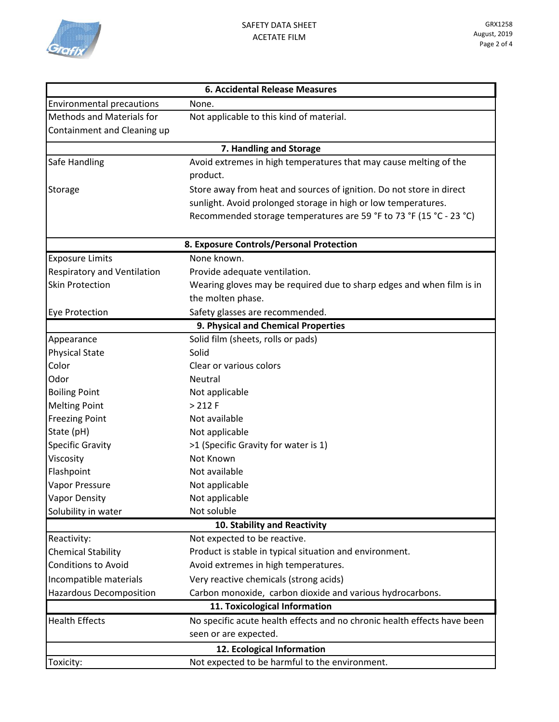

|                                          | <b>6. Accidental Release Measures</b>                                    |  |  |  |
|------------------------------------------|--------------------------------------------------------------------------|--|--|--|
| <b>Environmental precautions</b>         | None.                                                                    |  |  |  |
| <b>Methods and Materials for</b>         | Not applicable to this kind of material.                                 |  |  |  |
| Containment and Cleaning up              |                                                                          |  |  |  |
| 7. Handling and Storage                  |                                                                          |  |  |  |
| Safe Handling                            | Avoid extremes in high temperatures that may cause melting of the        |  |  |  |
|                                          | product.                                                                 |  |  |  |
| Storage                                  | Store away from heat and sources of ignition. Do not store in direct     |  |  |  |
|                                          | sunlight. Avoid prolonged storage in high or low temperatures.           |  |  |  |
|                                          | Recommended storage temperatures are 59 °F to 73 °F (15 °C - 23 °C)      |  |  |  |
| 8. Exposure Controls/Personal Protection |                                                                          |  |  |  |
| <b>Exposure Limits</b>                   | None known.                                                              |  |  |  |
| <b>Respiratory and Ventilation</b>       | Provide adequate ventilation.                                            |  |  |  |
| <b>Skin Protection</b>                   | Wearing gloves may be required due to sharp edges and when film is in    |  |  |  |
|                                          | the molten phase.                                                        |  |  |  |
| <b>Eye Protection</b>                    | Safety glasses are recommended.                                          |  |  |  |
|                                          | 9. Physical and Chemical Properties                                      |  |  |  |
| Appearance                               | Solid film (sheets, rolls or pads)                                       |  |  |  |
| <b>Physical State</b>                    | Solid                                                                    |  |  |  |
| Color                                    | Clear or various colors                                                  |  |  |  |
| Odor                                     | <b>Neutral</b>                                                           |  |  |  |
| <b>Boiling Point</b>                     | Not applicable                                                           |  |  |  |
| <b>Melting Point</b>                     | > 212 F                                                                  |  |  |  |
| <b>Freezing Point</b>                    | Not available                                                            |  |  |  |
| State (pH)                               | Not applicable                                                           |  |  |  |
| <b>Specific Gravity</b>                  | >1 (Specific Gravity for water is 1)                                     |  |  |  |
| Viscosity                                | Not Known                                                                |  |  |  |
| Flashpoint                               | Not available                                                            |  |  |  |
| Vapor Pressure                           | Not applicable                                                           |  |  |  |
| <b>Vapor Density</b>                     | Not applicable                                                           |  |  |  |
| Solubility in water                      | Not soluble                                                              |  |  |  |
| 10. Stability and Reactivity             |                                                                          |  |  |  |
| Reactivity:                              | Not expected to be reactive.                                             |  |  |  |
| <b>Chemical Stability</b>                | Product is stable in typical situation and environment.                  |  |  |  |
| <b>Conditions to Avoid</b>               | Avoid extremes in high temperatures.                                     |  |  |  |
| Incompatible materials                   | Very reactive chemicals (strong acids)                                   |  |  |  |
| <b>Hazardous Decomposition</b>           | Carbon monoxide, carbon dioxide and various hydrocarbons.                |  |  |  |
|                                          | 11. Toxicological Information                                            |  |  |  |
| <b>Health Effects</b>                    | No specific acute health effects and no chronic health effects have been |  |  |  |
|                                          | seen or are expected.                                                    |  |  |  |
|                                          | 12. Ecological Information                                               |  |  |  |
| Toxicity:                                | Not expected to be harmful to the environment.                           |  |  |  |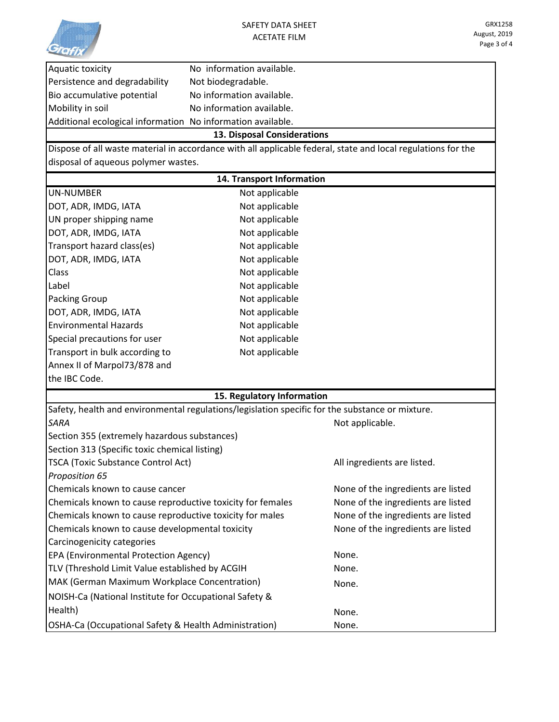

|                                                             | 13. Disposal Considerations |  |
|-------------------------------------------------------------|-----------------------------|--|
| Additional ecological information No information available. |                             |  |
| Mobility in soil                                            | No information available.   |  |
| Bio accumulative potential                                  | No information available.   |  |
| Persistence and degradability                               | Not biodegradable.          |  |
| Aquatic toxicity                                            | No information available.   |  |

Dispose of all waste material in accordance with all applicable federal, state and local regulations for the disposal of aqueous polymer wastes.

|                                                                                                 | 14. Transport Information |                                    |  |  |
|-------------------------------------------------------------------------------------------------|---------------------------|------------------------------------|--|--|
| <b>UN-NUMBER</b>                                                                                | Not applicable            |                                    |  |  |
| DOT, ADR, IMDG, IATA                                                                            | Not applicable            |                                    |  |  |
| UN proper shipping name                                                                         | Not applicable            |                                    |  |  |
| DOT, ADR, IMDG, IATA                                                                            | Not applicable            |                                    |  |  |
| Transport hazard class(es)                                                                      | Not applicable            |                                    |  |  |
| DOT, ADR, IMDG, IATA                                                                            | Not applicable            |                                    |  |  |
| Class                                                                                           | Not applicable            |                                    |  |  |
| Label                                                                                           | Not applicable            |                                    |  |  |
| <b>Packing Group</b>                                                                            | Not applicable            |                                    |  |  |
| DOT, ADR, IMDG, IATA                                                                            | Not applicable            |                                    |  |  |
| <b>Environmental Hazards</b>                                                                    | Not applicable            |                                    |  |  |
| Special precautions for user                                                                    | Not applicable            |                                    |  |  |
| Transport in bulk according to                                                                  | Not applicable            |                                    |  |  |
| Annex II of Marpol73/878 and                                                                    |                           |                                    |  |  |
| the IBC Code.                                                                                   |                           |                                    |  |  |
| 15. Regulatory Information                                                                      |                           |                                    |  |  |
| Safety, health and environmental regulations/legislation specific for the substance or mixture. |                           |                                    |  |  |
| <b>SARA</b>                                                                                     |                           | Not applicable.                    |  |  |
| Section 355 (extremely hazardous substances)                                                    |                           |                                    |  |  |
| Section 313 (Specific toxic chemical listing)                                                   |                           |                                    |  |  |
| TSCA (Toxic Substance Control Act)                                                              |                           | All ingredients are listed.        |  |  |
| Proposition 65                                                                                  |                           |                                    |  |  |
| Chemicals known to cause cancer                                                                 |                           | None of the ingredients are listed |  |  |
| Chemicals known to cause reproductive toxicity for females                                      |                           | None of the ingredients are listed |  |  |
| Chemicals known to cause reproductive toxicity for males                                        |                           | None of the ingredients are listed |  |  |
| Chemicals known to cause developmental toxicity                                                 |                           | None of the ingredients are listed |  |  |
| Carcinogenicity categories                                                                      |                           |                                    |  |  |
| EPA (Environmental Protection Agency)                                                           |                           | None.                              |  |  |
| TLV (Threshold Limit Value established by ACGIH                                                 |                           | None.                              |  |  |
| MAK (German Maximum Workplace Concentration)                                                    |                           | None.                              |  |  |
| NOISH-Ca (National Institute for Occupational Safety &                                          |                           |                                    |  |  |
| Health)                                                                                         |                           | None.                              |  |  |
| OSHA-Ca (Occupational Safety & Health Administration)                                           |                           | None.                              |  |  |